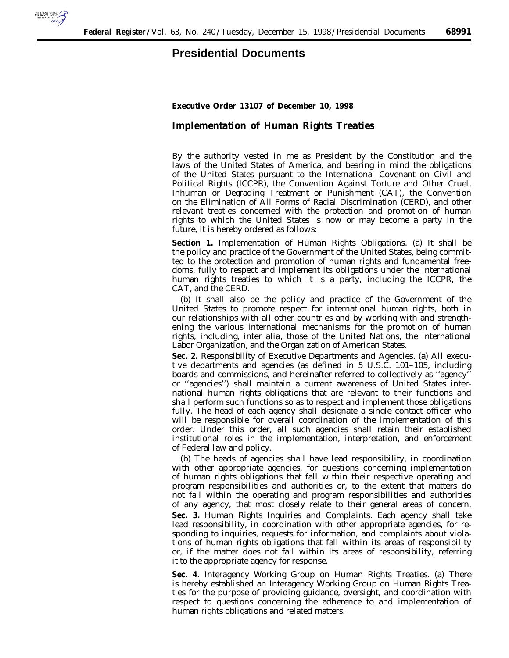

## **Presidential Documents**

## **Executive Order 13107 of December 10, 1998**

## **Implementation of Human Rights Treaties**

By the authority vested in me as President by the Constitution and the laws of the United States of America, and bearing in mind the obligations of the United States pursuant to the International Covenant on Civil and Political Rights (ICCPR), the Convention Against Torture and Other Cruel, Inhuman or Degrading Treatment or Punishment (CAT), the Convention on the Elimination of All Forms of Racial Discrimination (CERD), and other relevant treaties concerned with the protection and promotion of human rights to which the United States is now or may become a party in the future, it is hereby ordered as follows:

**Section 1.** *Implementation of Human Rights Obligations*. (a) It shall be the policy and practice of the Government of the United States, being committed to the protection and promotion of human rights and fundamental freedoms, fully to respect and implement its obligations under the international human rights treaties to which it is a party, including the ICCPR, the CAT, and the CERD.

(b) It shall also be the policy and practice of the Government of the United States to promote respect for international human rights, both in our relationships with all other countries and by working with and strengthening the various international mechanisms for the promotion of human rights, including, *inter alia*, those of the United Nations, the International Labor Organization, and the Organization of American States.

**Sec. 2.** *Responsibility of Executive Departments and Agencies*. (a) All executive departments and agencies (as defined in 5 U.S.C. 101–105, including boards and commissions, and hereinafter referred to collectively as ''agency'' or ''agencies'') shall maintain a current awareness of United States international human rights obligations that are relevant to their functions and shall perform such functions so as to respect and implement those obligations fully. The head of each agency shall designate a single contact officer who will be responsible for overall coordination of the implementation of this order. Under this order, all such agencies shall retain their established institutional roles in the implementation, interpretation, and enforcement of Federal law and policy.

(b) The heads of agencies shall have lead responsibility, in coordination with other appropriate agencies, for questions concerning implementation of human rights obligations that fall within their respective operating and program responsibilities and authorities or, to the extent that matters do not fall within the operating and program responsibilities and authorities of any agency, that most closely relate to their general areas of concern. **Sec. 3.** *Human Rights Inquiries and Complaints*. Each agency shall take lead responsibility, in coordination with other appropriate agencies, for responding to inquiries, requests for information, and complaints about violations of human rights obligations that fall within its areas of responsibility or, if the matter does not fall within its areas of responsibility, referring it to the appropriate agency for response.

**Sec. 4.** *Interagency Working Group on Human Rights Treaties*. (a) There is hereby established an Interagency Working Group on Human Rights Treaties for the purpose of providing guidance, oversight, and coordination with respect to questions concerning the adherence to and implementation of human rights obligations and related matters.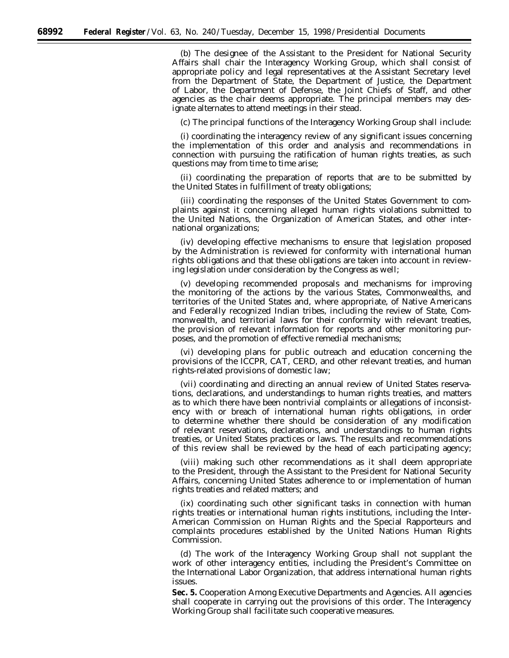(b) The designee of the Assistant to the President for National Security Affairs shall chair the Interagency Working Group, which shall consist of appropriate policy and legal representatives at the Assistant Secretary level from the Department of State, the Department of Justice, the Department of Labor, the Department of Defense, the Joint Chiefs of Staff, and other agencies as the chair deems appropriate. The principal members may designate alternates to attend meetings in their stead.

(c) The principal functions of the Interagency Working Group shall include:

(i) coordinating the interagency review of any significant issues concerning the implementation of this order and analysis and recommendations in connection with pursuing the ratification of human rights treaties, as such questions may from time to time arise;

(ii) coordinating the preparation of reports that are to be submitted by the United States in fulfillment of treaty obligations;

(iii) coordinating the responses of the United States Government to complaints against it concerning alleged human rights violations submitted to the United Nations, the Organization of American States, and other international organizations;

(iv) developing effective mechanisms to ensure that legislation proposed by the Administration is reviewed for conformity with international human rights obligations and that these obligations are taken into account in reviewing legislation under consideration by the Congress as well;

(v) developing recommended proposals and mechanisms for improving the monitoring of the actions by the various States, Commonwealths, and territories of the United States and, where appropriate, of Native Americans and Federally recognized Indian tribes, including the review of State, Commonwealth, and territorial laws for their conformity with relevant treaties, the provision of relevant information for reports and other monitoring purposes, and the promotion of effective remedial mechanisms;

(vi) developing plans for public outreach and education concerning the provisions of the ICCPR, CAT, CERD, and other relevant treaties, and human rights-related provisions of domestic law;

(vii) coordinating and directing an annual review of United States reservations, declarations, and understandings to human rights treaties, and matters as to which there have been nontrivial complaints or allegations of inconsistency with or breach of international human rights obligations, in order to determine whether there should be consideration of any modification of relevant reservations, declarations, and understandings to human rights treaties, or United States practices or laws. The results and recommendations of this review shall be reviewed by the head of each participating agency;

(viii) making such other recommendations as it shall deem appropriate to the President, through the Assistant to the President for National Security Affairs, concerning United States adherence to or implementation of human rights treaties and related matters; and

(ix) coordinating such other significant tasks in connection with human rights treaties or international human rights institutions, including the Inter-American Commission on Human Rights and the Special Rapporteurs and complaints procedures established by the United Nations Human Rights Commission.

(d) The work of the Interagency Working Group shall not supplant the work of other interagency entities, including the President's Committee on the International Labor Organization, that address international human rights issues.

**Sec. 5.** *Cooperation Among Executive Departments and Agencies*. All agencies shall cooperate in carrying out the provisions of this order. The Interagency Working Group shall facilitate such cooperative measures.